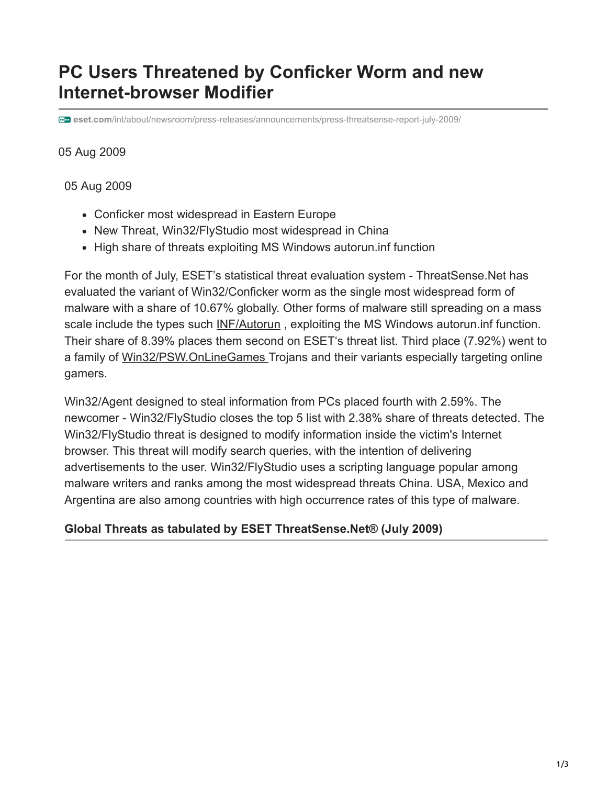# **PC Users Threatened by Conficker Worm and new Internet-browser Modifier**

**eset.com**[/int/about/newsroom/press-releases/announcements/press-threatsense-report-july-2009/](https://www.eset.com/int/about/newsroom/press-releases/announcements/press-threatsense-report-july-2009/)

#### 05 Aug 2009

05 Aug 2009

- Conficker most widespread in Eastern Europe
- New Threat, Win32/FlyStudio most widespread in China
- High share of threats exploiting MS Windows autorun. inf function

For the month of July, ESET's statistical threat evaluation system - ThreatSense.Net has evaluated the variant of [Win32/Conficker](http://www.eset.eu/buxus/generate_page.php?page_id=24162) worm as the single most widespread form of malware with a share of 10.67% globally. Other forms of malware still spreading on a mass scale include the types such **INF/Autorun**, exploiting the MS Windows autorun.inf function. Their share of 8.39% places them second on ESET's threat list. Third place (7.92%) went to a family of [Win32/PSW.OnLineGames](http://www.eset.eu/buxus/generate_page.php?page_id=21956) Trojans and their variants especially targeting online gamers.

Win32/Agent designed to steal information from PCs placed fourth with 2.59%. The newcomer - Win32/FlyStudio closes the top 5 list with 2.38% share of threats detected. The Win32/FlyStudio threat is designed to modify information inside the victim's Internet browser. This threat will modify search queries, with the intention of delivering advertisements to the user. Win32/FlyStudio uses a scripting language popular among malware writers and ranks among the most widespread threats China. USA, Mexico and Argentina are also among countries with high occurrence rates of this type of malware.

#### **Global Threats as tabulated by ESET ThreatSense.Net® (July 2009)**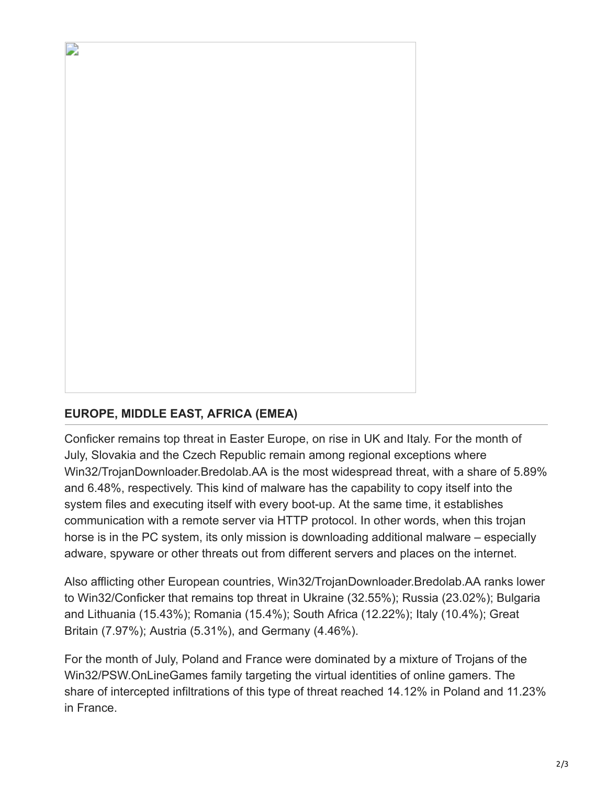## **EUROPE, MIDDLE EAST, AFRICA (EMEA)**

D

Conficker remains top threat in Easter Europe, on rise in UK and Italy. For the month of July, Slovakia and the Czech Republic remain among regional exceptions where Win32/TrojanDownloader.Bredolab.AA is the most widespread threat, with a share of 5.89% and 6.48%, respectively. This kind of malware has the capability to copy itself into the system files and executing itself with every boot-up. At the same time, it establishes communication with a remote server via HTTP protocol. In other words, when this trojan horse is in the PC system, its only mission is downloading additional malware – especially adware, spyware or other threats out from different servers and places on the internet.

Also afflicting other European countries, Win32/TrojanDownloader.Bredolab.AA ranks lower to Win32/Conficker that remains top threat in Ukraine (32.55%); Russia (23.02%); Bulgaria and Lithuania (15.43%); Romania (15.4%); South Africa (12.22%); Italy (10.4%); Great Britain (7.97%); Austria (5.31%), and Germany (4.46%).

For the month of July, Poland and France were dominated by a mixture of Trojans of the Win32/PSW.OnLineGames family targeting the virtual identities of online gamers. The share of intercepted infiltrations of this type of threat reached 14.12% in Poland and 11.23% in France.